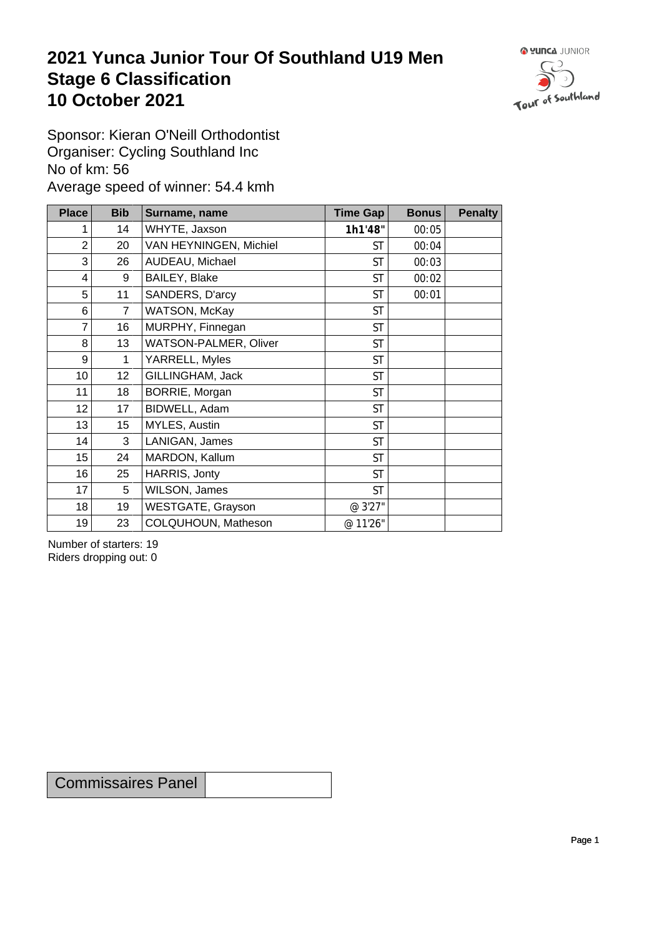## **2021 Yunca Junior Tour Of Southland U19 Men** Stage 6 Classification<br>10 October 2021 **10 October 2021**



Sponsor: Kieran O'Neill Orthodontist Organiser: Cycling Southland Inc No of km: 56 Average speed of winner: 54.4 kmh

| <b>Place</b>    | <b>Bib</b>     | Surname, name          | <b>Time Gap</b> | <b>Bonus</b> | <b>Penalty</b> |
|-----------------|----------------|------------------------|-----------------|--------------|----------------|
| 1               | 14             | WHYTE, Jaxson          | 1h1'48"         | 00:05        |                |
| $\overline{c}$  | 20             | VAN HEYNINGEN, Michiel | <b>ST</b>       | 00:04        |                |
| 3               | 26             | AUDEAU, Michael        | <b>ST</b>       | 00:03        |                |
| 4               | 9              | BAILEY, Blake          | <b>ST</b>       | 00:02        |                |
| 5               | 11             | SANDERS, D'arcy        | <b>ST</b>       | 00:01        |                |
| 6               | $\overline{7}$ | WATSON, McKay          | <b>ST</b>       |              |                |
| 7               | 16             | MURPHY, Finnegan       | <b>ST</b>       |              |                |
| 8               | 13             | WATSON-PALMER, Oliver  | <b>ST</b>       |              |                |
| 9               | $\mathbf 1$    | YARRELL, Myles         | <b>ST</b>       |              |                |
| 10 <sup>1</sup> | 12             | GILLINGHAM, Jack       | <b>ST</b>       |              |                |
| 11              | 18             | BORRIE, Morgan         | <b>ST</b>       |              |                |
| 12              | 17             | BIDWELL, Adam          | <b>ST</b>       |              |                |
| 13              | 15             | MYLES, Austin          | <b>ST</b>       |              |                |
| 14              | 3              | LANIGAN, James         | <b>ST</b>       |              |                |
| 15              | 24             | MARDON, Kallum         | <b>ST</b>       |              |                |
| 16              | 25             | HARRIS, Jonty          | <b>ST</b>       |              |                |
| 17              | 5              | WILSON, James          | <b>ST</b>       |              |                |
| 18              | 19             | WESTGATE, Grayson      | @ 3'27"         |              |                |
| 19              | 23             | COLQUHOUN, Matheson    | @ 11'26"        |              |                |

Number of starters: 19 Riders dropping out: 0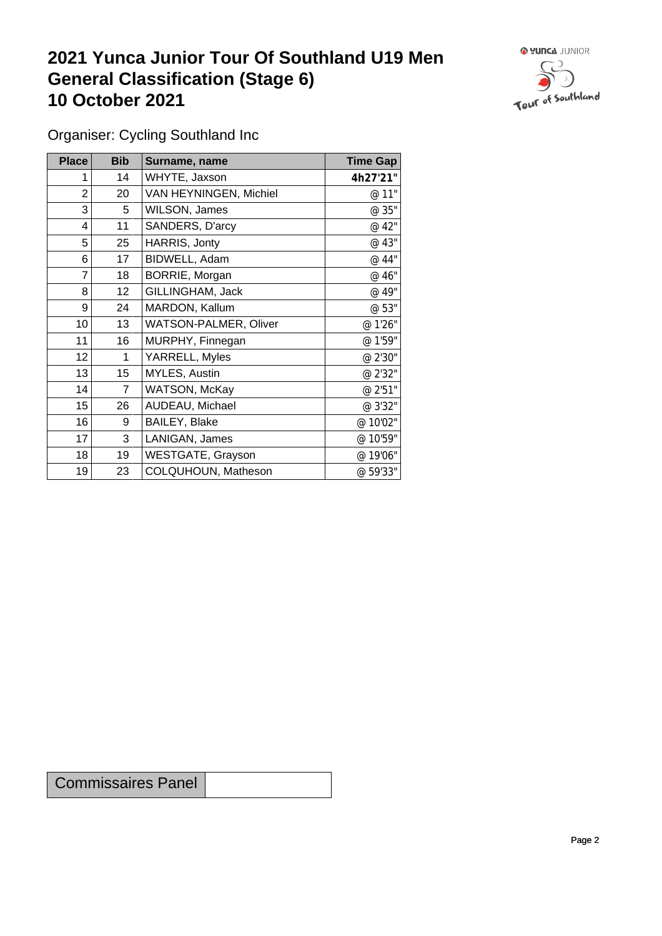## **2021 Yunca Junior Tour Of Southland U19 Men General Classification (Stage 6)**<br>10 October 2021 **10 October 2021**



Organiser: Cycling Southland Inc

| Place           | <b>Bib</b>      | Surname, name                | <b>Time Gap</b> |
|-----------------|-----------------|------------------------------|-----------------|
|                 | 14              | WHYTE, Jaxson                | 4h27'21"        |
| 2               | 20              | VAN HEYNINGEN, Michiel       | @ 11"           |
| 3               | 5               | WILSON, James                | @ 35"           |
| 4               | 11              | SANDERS, D'arcy              | @ 42"           |
| 5               | 25              | HARRIS, Jonty                | @ 43"           |
| 6               | 17              | BIDWELL, Adam                | @ 44"           |
| 7               | 18              | BORRIE, Morgan               | @ 46"           |
| 8               | 12 <sub>2</sub> | GILLINGHAM, Jack             | @ 49"           |
| 9               | 24              | MARDON, Kallum               | @ 53"           |
| 10 <sup>1</sup> | 13              | <b>WATSON-PALMER, Oliver</b> | @ 1'26"         |
| 11              | 16              | MURPHY, Finnegan             | @ 1'59"         |
| 12              | 1               | YARRELL, Myles               | @ 2'30"         |
| 13              | 15              | MYLES, Austin                | @ 2'32"         |
| 14              | $\overline{7}$  | WATSON, McKay                | @ 2'51"         |
| 15              | 26              | AUDEAU, Michael              | @ 3'32"         |
| 16              | 9               | BAILEY, Blake                | @ 10'02"        |
| 17              | 3               | LANIGAN, James               | @ 10'59"        |
| 18              | 19              | <b>WESTGATE, Grayson</b>     | @19'06"         |
| 19              | 23              | COLQUHOUN, Matheson          | @ 59'33"        |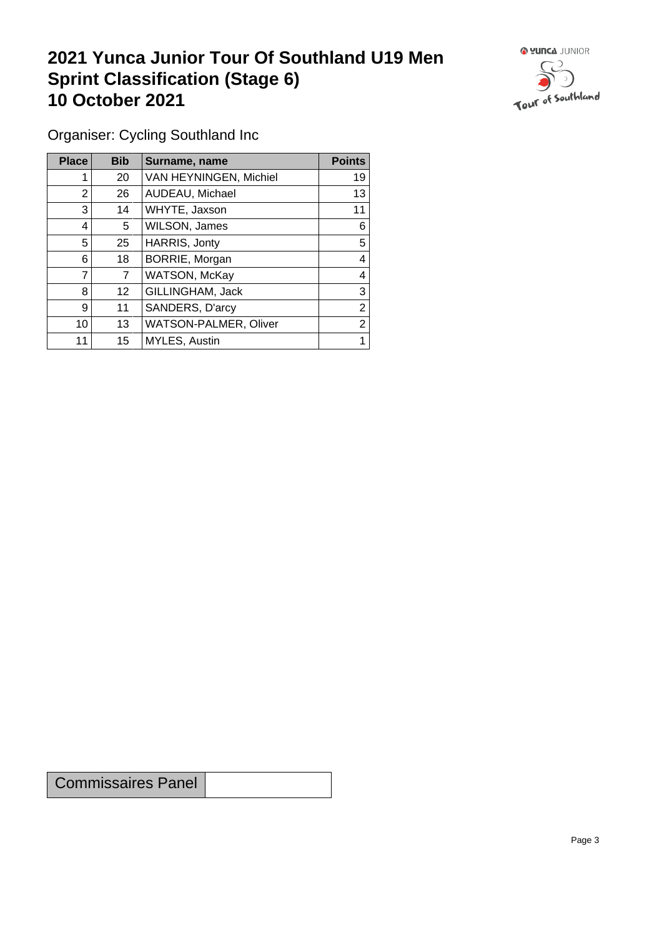## **2021 Yunca Junior Tour Of Southland U19 Men Sprint Classification (Stage 6) 10 October 2021 10 October 2021**



Organiser: Cycling Southland Inc

| <b>Place</b>             | <b>Bib</b>     | Surname, name          | <b>Points</b> |
|--------------------------|----------------|------------------------|---------------|
|                          | 20             | VAN HEYNINGEN, Michiel | 19            |
| 2                        | 26             | AUDEAU, Michael        | 13            |
| 3                        | 14             | WHYTE, Jaxson          | 11            |
| 4                        | 5              | WILSON, James          | 6             |
| 5                        | 25             | HARRIS, Jonty          | 5             |
| 6                        | 18             | BORRIE, Morgan         | 4             |
| $\overline{\phantom{a}}$ | $\overline{7}$ | WATSON, McKay          | 4             |
| 8                        | 12             | GILLINGHAM, Jack       | 3             |
| 9                        | 11             | SANDERS, D'arcy        | 2             |
| 10                       | 13             | WATSON-PALMER, Oliver  | 2             |
| 11                       | 15             | MYLES, Austin          |               |